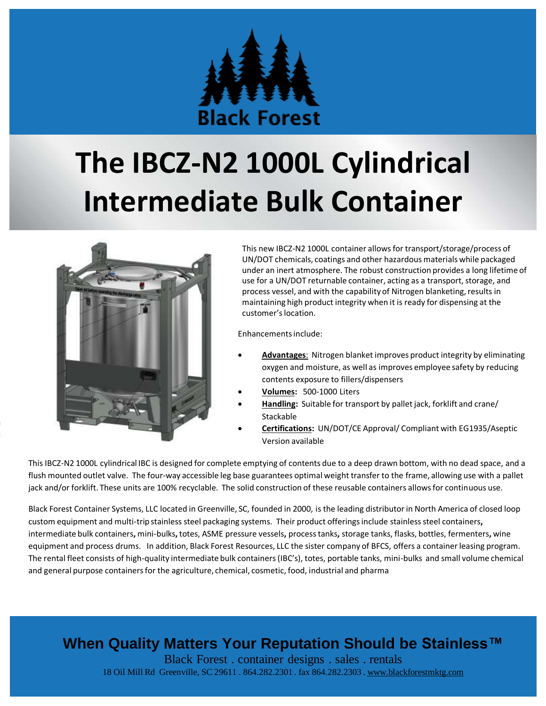

# **The IBCZ-N2 1000L Cylindrical Intermediate Bulk Container**



This new IBCZ-N2 1000L container allows for transport/storage/process of UN/DOT chemicals, coatings and other hazardous materials while packaged under an inert atmosphere. The robust construction provides a long lifetime of use for a UN/DOT returnable container, acting as a transport, storage, and process vessel, and with the capability of Nitrogen blanketing, results in maintaining high product integrity when it is ready for dispensing at the customer's location.

Enhancements include:

- **Advantages**: Nitrogen blanket improves product integrity by eliminating oxygen and moisture, as well as improves employee safety by reducing contents exposure to fillers/dispensers
- **Volumes:** 500-1000 Liters
- **Handling:** Suitable for transport by pallet jack, forklift and crane/ Stackable
- **Certifications:** UN/DOT/CE Approval/ Compliant with EG1935/Aseptic Version available

This IBCZ-N2 1000L cylindrical IBC is designed for complete emptying of contents due to a deep drawn bottom, with no dead space, and a flush mounted outlet valve. The four-way accessible leg base guarantees optimal weight transfer to the frame, allowing use with a pallet jack and/or forklift. These units are 100% recyclable. The solid construction of these reusable containers allows for continuous use.

Black Forest Container Systems, LLC located in Greenville, SC, founded in 2000, is the leading distributor in North America of closed loop custom equipment and multi-trip stainless steel packaging systems. Their product offerings include stainless steel containers**,**  intermediate bulk containers**,** mini-bulks**,** totes, ASME pressure vessels**,** process tanks**,** storage tanks, flasks, bottles, fermenters**,** wine equipment and process drums. In addition, Black Forest Resources, LLC the sister company of BFCS, offers a container leasing program. The rental fleet consists of high-quality intermediate bulk containers (IBC's), totes, portable tanks, mini-bulks and small volume chemical and general purpose containers for the agriculture, chemical, cosmetic, food, industrial and pharma

### **When Quality Matters Your Reputation Should be Stainless™**

Black Forest . container designs . sales . rentals 18 Oil Mill Rd Greenville, SC 29611 . 864.282.2301 . fax 864.282.2303 . [www.blackforestmktg.com](http://www.blackforestmktg.com/)